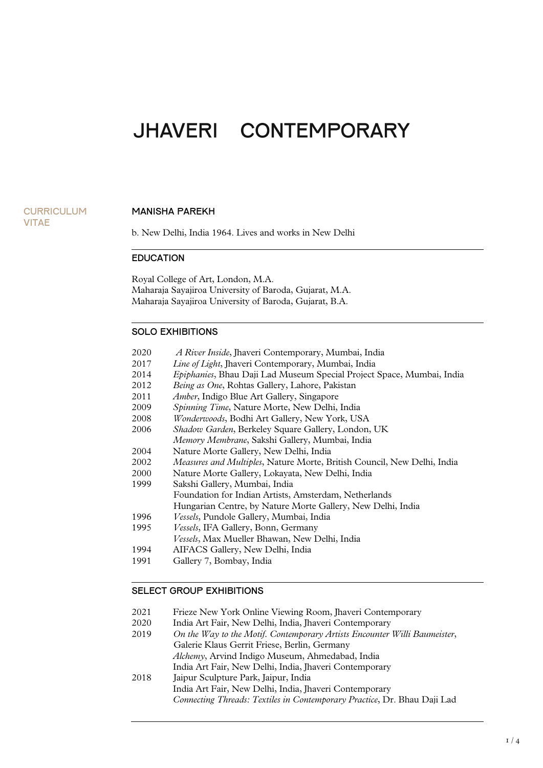# JHAVERI CONTEMPORARY

#### **CURRICULUM** VITAE

#### MANISHA PAREKH

b. New Delhi, India 1964. Lives and works in New Delhi

#### EDUCATION

Royal College of Art, London, M.A. Maharaja Sayajiroa University of Baroda, Gujarat, M.A. Maharaja Sayajiroa University of Baroda, Gujarat, B.A.

#### SOLO EXHIBITIONS

|  | 2020 |  |  | <i>A River Inside</i> , Jhaveri Contemporary, Mumbai, India |  |  |
|--|------|--|--|-------------------------------------------------------------|--|--|
|--|------|--|--|-------------------------------------------------------------|--|--|

- 2017 *Line of Light*, Jhaveri Contemporary, Mumbai, India
- 2014 *Epiphanies*, Bhau Daji Lad Museum Special Project Space, Mumbai, India
- 2012 *Being as One*, Rohtas Gallery, Lahore, Pakistan
- 2011 *Amber*, Indigo Blue Art Gallery, Singapore<br>2009 *Spinning Time*, Nature Morte, New Delhi,
- 2009 *Spinning Time*, Nature Morte, New Delhi, India
- 2008 *Wonderwoods*, Bodhi Art Gallery, New York, USA
- 2006 *Shadow Garden*, Berkeley Square Gallery, London, UK
- *Memory Membrane*, Sakshi Gallery, Mumbai, India
- 2004 Nature Morte Gallery, New Delhi, India
- 2002 *Measures and Multiples*, Nature Morte, British Council, New Delhi, India
- 2000 Nature Morte Gallery, Lokayata, New Delhi, India
- Sakshi Gallery, Mumbai, India
	- Foundation for Indian Artists, Amsterdam, Netherlands
		- Hungarian Centre, by Nature Morte Gallery, New Delhi, India
- 1996 *Vessels*, Pundole Gallery, Mumbai, India
- 1995 *Vessels*, IFA Gallery, Bonn, Germany
- *Vessels*, Max Mueller Bhawan, New Delhi, India
- 1994 AIFACS Gallery, New Delhi, India
- 1991 Gallery 7, Bombay, India

#### SELECT GROUP EXHIBITIONS

- 2021 Frieze New York Online Viewing Room, Jhaveri Contemporary<br>2020 India Art Fair, New Delhi, India, Ihaveri Contemporary
- India Art Fair, New Delhi, India, Jhaveri Contemporary
- 2019 *On the Way to the Motif. Contemporary Artists Encounter Willi Baumeister*,
	- Galerie Klaus Gerrit Friese, Berlin, Germany
		- *Alchemy*, Arvind Indigo Museum, Ahmedabad, India India Art Fair, New Delhi, India, Jhaveri Contemporary
- 2018 Jaipur Sculpture Park, Jaipur, India India Art Fair, New Delhi, India, Jhaveri Contemporary

 *Connecting Threads: Textiles in Contemporary Practice*, Dr. Bhau Daji Lad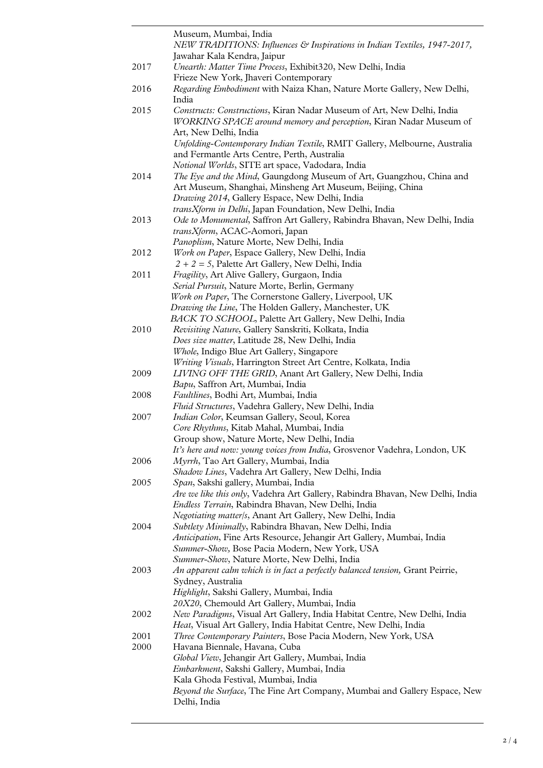|      | Museum, Mumbai, India                                                                                                                         |
|------|-----------------------------------------------------------------------------------------------------------------------------------------------|
|      | NEW TRADITIONS: Influences & Inspirations in Indian Textiles, 1947-2017,                                                                      |
| 2017 | Jawahar Kala Kendra, Jaipur<br>Unearth: Matter Time Process, Exhibit320, New Delhi, India                                                     |
|      | Frieze New York, Jhaveri Contemporary                                                                                                         |
| 2016 | Regarding Embodiment with Naiza Khan, Nature Morte Gallery, New Delhi,                                                                        |
|      | India                                                                                                                                         |
| 2015 | Constructs: Constructions, Kiran Nadar Museum of Art, New Delhi, India<br>WORKING SPACE around memory and perception, Kiran Nadar Museum of   |
|      | Art, New Delhi, India<br>Unfolding-Contemporary Indian Textile, RMIT Gallery, Melbourne, Australia                                            |
|      | and Fermantle Arts Centre, Perth, Australia                                                                                                   |
| 2014 | Notional Worlds, SITE art space, Vadodara, India<br>The Eye and the Mind, Gaungdong Museum of Art, Guangzhou, China and                       |
|      | Art Museum, Shanghai, Minsheng Art Museum, Beijing, China<br>Drawing 2014, Gallery Espace, New Delhi, India                                   |
|      | transXform in Delhi, Japan Foundation, New Delhi, India                                                                                       |
| 2013 | Ode to Monumental, Saffron Art Gallery, Rabindra Bhavan, New Delhi, India                                                                     |
|      | transXform, ACAC-Aomori, Japan                                                                                                                |
|      | Panoplism, Nature Morte, New Delhi, India                                                                                                     |
| 2012 | Work on Paper, Espace Gallery, New Delhi, India<br>$2 + 2 = 5$ , Palette Art Gallery, New Delhi, India                                        |
| 2011 | Fragility, Art Alive Gallery, Gurgaon, India                                                                                                  |
|      | Serial Pursuit, Nature Morte, Berlin, Germany                                                                                                 |
|      | Work on Paper, The Cornerstone Gallery, Liverpool, UK                                                                                         |
|      | Drawing the Line, The Holden Gallery, Manchester, UK                                                                                          |
|      | BACK TO SCHOOL, Palette Art Gallery, New Delhi, India                                                                                         |
| 2010 | Revisiting Nature, Gallery Sanskriti, Kolkata, India                                                                                          |
|      | Does size matter, Latitude 28, New Delhi, India                                                                                               |
|      | Whole, Indigo Blue Art Gallery, Singapore<br>Writing Visuals, Harrington Street Art Centre, Kolkata, India                                    |
| 2009 | LIVING OFF THE GRID, Anant Art Gallery, New Delhi, India                                                                                      |
|      | Bapu, Saffron Art, Mumbai, India                                                                                                              |
| 2008 | Faultlines, Bodhi Art, Mumbai, India                                                                                                          |
|      | Fluid Structures, Vadehra Gallery, New Delhi, India                                                                                           |
| 2007 | Indian Color, Keumsan Gallery, Seoul, Korea                                                                                                   |
|      | Core Rhythms, Kitab Mahal, Mumbai, India                                                                                                      |
|      | Group show, Nature Morte, New Delhi, India                                                                                                    |
|      | It's here and now: young voices from India, Grosvenor Vadehra, London, UK                                                                     |
| 2006 | Myrrh, Tao Art Gallery, Mumbai, India<br>Shadow Lines, Vadehra Art Gallery, New Delhi, India                                                  |
| 2005 | Span, Sakshi gallery, Mumbai, India                                                                                                           |
|      | Are we like this only, Vadehra Art Gallery, Rabindra Bhavan, New Delhi, India                                                                 |
|      | Endless Terrain, Rabindra Bhavan, New Delhi, India                                                                                            |
|      | Negotiating matter/s, Anant Art Gallery, New Delhi, India                                                                                     |
| 2004 | Subtlety Minimally, Rabindra Bhavan, New Delhi, India                                                                                         |
|      | Anticipation, Fine Arts Resource, Jehangir Art Gallery, Mumbai, India                                                                         |
|      | Summer-Show, Bose Pacia Modern, New York, USA                                                                                                 |
| 2003 | Summer-Show, Nature Morte, New Delhi, India<br>An apparent calm which is in fact a perfectly balanced tension, Grant Peirrie,                 |
|      | Sydney, Australia                                                                                                                             |
|      | Highlight, Sakshi Gallery, Mumbai, India                                                                                                      |
|      | 20X20, Chemould Art Gallery, Mumbai, India                                                                                                    |
| 2002 | New Paradigms, Visual Art Gallery, India Habitat Centre, New Delhi, India<br>Heat, Visual Art Gallery, India Habitat Centre, New Delhi, India |
| 2001 | Three Contemporary Painters, Bose Pacia Modern, New York, USA                                                                                 |
| 2000 | Havana Biennale, Havana, Cuba                                                                                                                 |
|      | Global View, Jehangir Art Gallery, Mumbai, India                                                                                              |
|      | Embarkment, Sakshi Gallery, Mumbai, India                                                                                                     |
|      | Kala Ghoda Festival, Mumbai, India<br>Beyond the Surface, The Fine Art Company, Mumbai and Gallery Espace, New                                |
|      | Delhi, India                                                                                                                                  |
|      |                                                                                                                                               |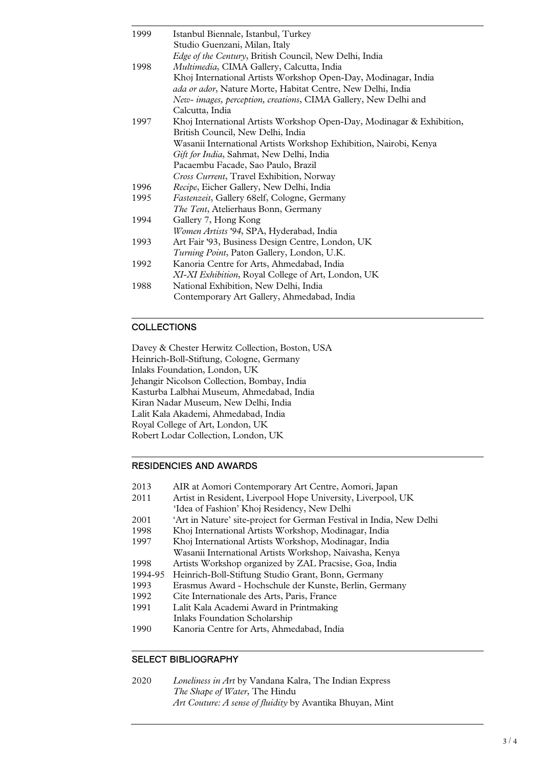| 1999 | Istanbul Biennale, Istanbul, Turkey                                   |
|------|-----------------------------------------------------------------------|
|      | Studio Guenzani, Milan, Italy                                         |
|      | <i>Edge of the Century</i> , British Council, New Delhi, India        |
| 1998 | Multimedia, CIMA Gallery, Calcutta, India                             |
|      | Khoj International Artists Workshop Open-Day, Modinagar, India        |
|      | ada or ador, Nature Morte, Habitat Centre, New Delhi, India           |
|      | New-images, perception, creations, CIMA Gallery, New Delhi and        |
|      | Calcutta, India                                                       |
| 1997 | Khoj International Artists Workshop Open-Day, Modinagar & Exhibition, |
|      | British Council, New Delhi, India                                     |
|      | Wasanii International Artists Workshop Exhibition, Nairobi, Kenya     |
|      | <i>Gift for India</i> , Sahmat, New Delhi, India                      |
|      | Pacaembu Facade, Sao Paulo, Brazil                                    |
|      | <i>Cross Current</i> , Travel Exhibition, Norway                      |
| 1996 | Recipe, Eicher Gallery, New Delhi, India                              |
| 1995 | Fastenzeit, Gallery 68elf, Cologne, Germany                           |
|      | The Tent, Atelierhaus Bonn, Germany                                   |
| 1994 | Gallery 7, Hong Kong                                                  |
|      | Women Artists '94, SPA, Hyderabad, India                              |
| 1993 | Art Fair '93, Business Design Centre, London, UK                      |
|      | Turning Point, Paton Gallery, London, U.K.                            |
| 1992 | Kanoria Centre for Arts, Ahmedabad, India                             |
|      | XI-XI Exhibition, Royal College of Art, London, UK                    |
| 1988 | National Exhibition, New Delhi, India                                 |
|      | Contemporary Art Gallery, Ahmedabad, India                            |

## **COLLECTIONS**

Davey & Chester Herwitz Collection, Boston, USA Heinrich-Boll-Stiftung, Cologne, Germany Inlaks Foundation, London, UK Jehangir Nicolson Collection, Bombay, India Kasturba Lalbhai Museum, Ahmedabad, India Kiran Nadar Museum, New Delhi, India Lalit Kala Akademi, Ahmedabad, India Royal College of Art, London, UK Robert Lodar Collection, London, UK

## RESIDENCIES AND AWARDS

- 2013 AIR at Aomori Contemporary Art Centre, Aomori, Japan<br>2011 Artist in Resident, Liverpool Hope University, Liverpool,
- Artist in Resident, Liverpool Hope University, Liverpool, UK
- 'Idea of Fashion' Khoj Residency, New Delhi
- 2001 'Art in Nature' site-project for German Festival in India, New Delhi<br>1998 Khoi International Artists Workshop, Modinagar, India
- 1998 Khoj International Artists Workshop, Modinagar, India
- Khoj International Artists Workshop, Modinagar, India
- Wasanii International Artists Workshop, Naivasha, Kenya<br>1998 Artists Workshop organized by ZAL Pracsise, Goa, India Artists Workshop organized by ZAL Pracsise, Goa, India
- 1994-95 Heinrich-Boll-Stiftung Studio Grant, Bonn, Germany
- 1993 Erasmus Award Hochschule der Kunste, Berlin, Germany
- 1992 Cite Internationale des Arts, Paris, France
- 1991 Lalit Kala Academi Award in Printmaking Inlaks Foundation Scholarship
- 1990 Kanoria Centre for Arts, Ahmedabad, India

# SELECT BIBLIOGRAPHY

2020 *Loneliness in Art* by Vandana Kalra, The Indian Express *The Shape of Water*, The Hindu *Art Couture: A sense of fluidity* by Avantika Bhuyan, Mint